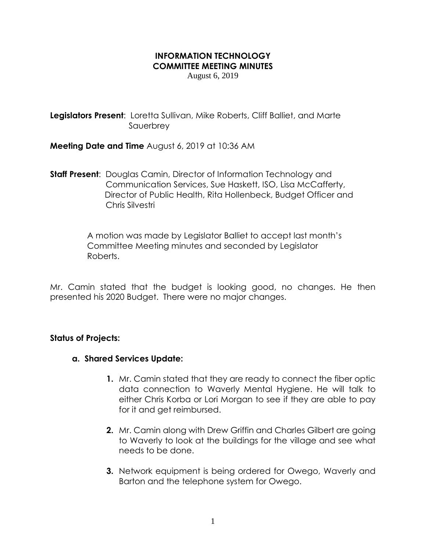## **INFORMATION TECHNOLOGY COMMITTEE MEETING MINUTES**

August 6, 2019

**Legislators Present**: Loretta Sullivan, Mike Roberts, Cliff Balliet, and Marte Sauerbrey

**Meeting Date and Time** August 6, 2019 at 10:36 AM

**Staff Present**: Douglas Camin, Director of Information Technology and Communication Services, Sue Haskett, ISO, Lisa McCafferty, Director of Public Health, Rita Hollenbeck, Budget Officer and Chris Silvestri

> A motion was made by Legislator Balliet to accept last month's Committee Meeting minutes and seconded by Legislator Roberts.

Mr. Camin stated that the budget is looking good, no changes. He then presented his 2020 Budget. There were no major changes.

## **Status of Projects:**

- **a. Shared Services Update:**
	- **1.** Mr. Camin stated that they are ready to connect the fiber optic data connection to Waverly Mental Hygiene. He will talk to either Chris Korba or Lori Morgan to see if they are able to pay for it and get reimbursed.
	- **2.** Mr. Camin along with Drew Griffin and Charles Gilbert are going to Waverly to look at the buildings for the village and see what needs to be done.
	- **3.** Network equipment is being ordered for Owego, Waverly and Barton and the telephone system for Owego.